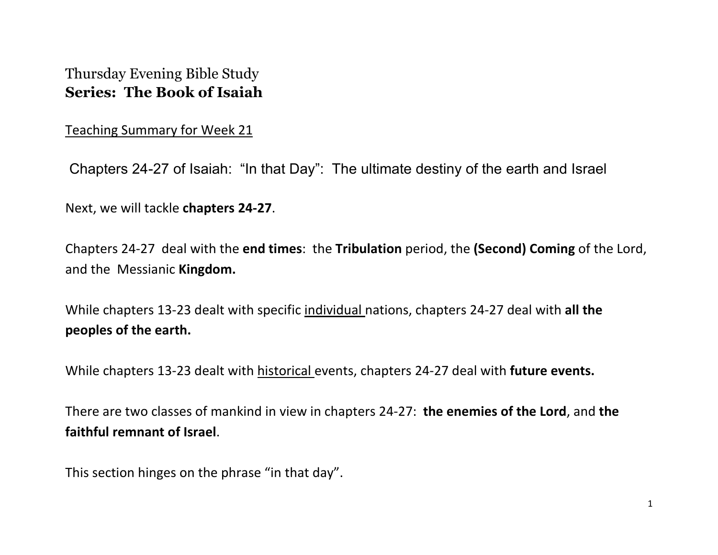## Thursday Evening Bible Study **Series: The Book of Isaiah**

Teaching Summary for Week 21

Chapters 24-27 of Isaiah: "In that Day": The ultimate destiny of the earth and Israel

Next, we will tackle **chapters 24-27**.

Chapters 24-27 deal with the **end times**: the **Tribulation** period, the **(Second) Coming** of the Lord, and the Messianic **Kingdom.**

While chapters 13-23 dealt with specific individual nations, chapters 24-27 deal with **all the peoples of the earth.**

While chapters 13-23 dealt with historical events, chapters 24-27 deal with **future events.**

There are two classes of mankind in view in chapters 24-27: **the enemies of the Lord**, and **the faithful remnant of Israel**.

This section hinges on the phrase "in that day".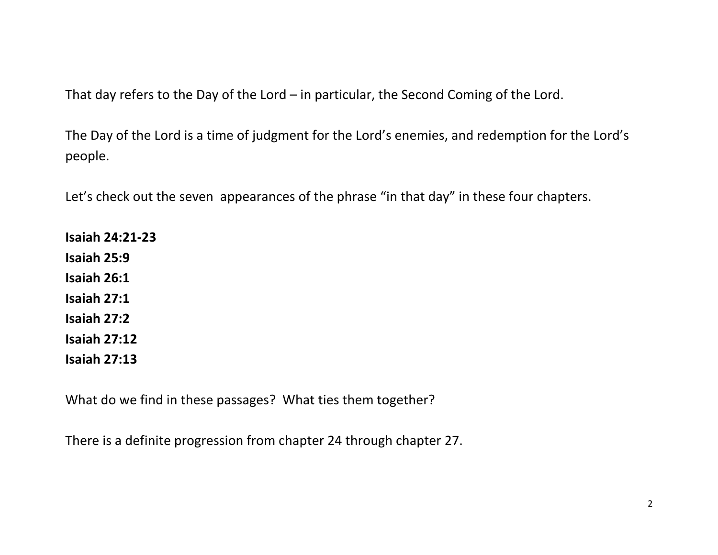That day refers to the Day of the Lord – in particular, the Second Coming of the Lord.

The Day of the Lord is a time of judgment for the Lord's enemies, and redemption for the Lord's people.

Let's check out the seven appearances of the phrase "in that day" in these four chapters.

**Isaiah 24:21-23 Isaiah 25:9 Isaiah 26:1 Isaiah 27:1 Isaiah 27:2 Isaiah 27:12 Isaiah 27:13**

What do we find in these passages? What ties them together?

There is a definite progression from chapter 24 through chapter 27.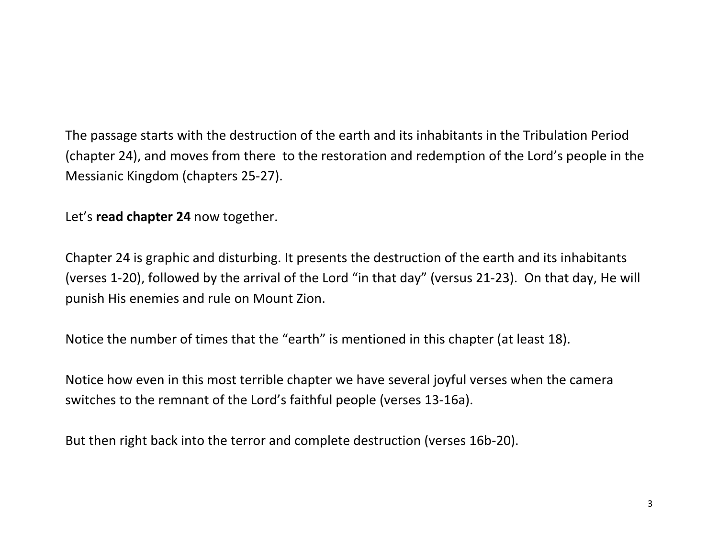The passage starts with the destruction of the earth and its inhabitants in the Tribulation Period (chapter 24), and moves from there to the restoration and redemption of the Lord's people in the Messianic Kingdom (chapters 25-27).

Let's **read chapter 24** now together.

Chapter 24 is graphic and disturbing. It presents the destruction of the earth and its inhabitants (verses 1-20), followed by the arrival of the Lord "in that day" (versus 21-23). On that day, He will punish His enemies and rule on Mount Zion.

Notice the number of times that the "earth" is mentioned in this chapter (at least 18).

Notice how even in this most terrible chapter we have several joyful verses when the camera switches to the remnant of the Lord's faithful people (verses 13-16a).

But then right back into the terror and complete destruction (verses 16b-20).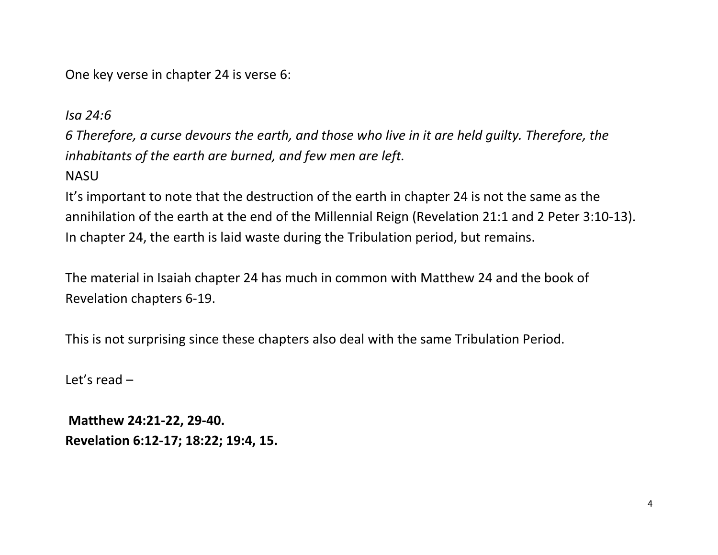One key verse in chapter 24 is verse 6:

*Isa 24:6*

*6 Therefore, a curse devours the earth, and those who live in it are held guilty. Therefore, the inhabitants of the earth are burned, and few men are left.* 

**NASU** 

It's important to note that the destruction of the earth in chapter 24 is not the same as the annihilation of the earth at the end of the Millennial Reign (Revelation 21:1 and 2 Peter 3:10-13). In chapter 24, the earth is laid waste during the Tribulation period, but remains.

The material in Isaiah chapter 24 has much in common with Matthew 24 and the book of Revelation chapters 6-19.

This is not surprising since these chapters also deal with the same Tribulation Period.

Let's read –

**Matthew 24:21-22, 29-40. Revelation 6:12-17; 18:22; 19:4, 15.**